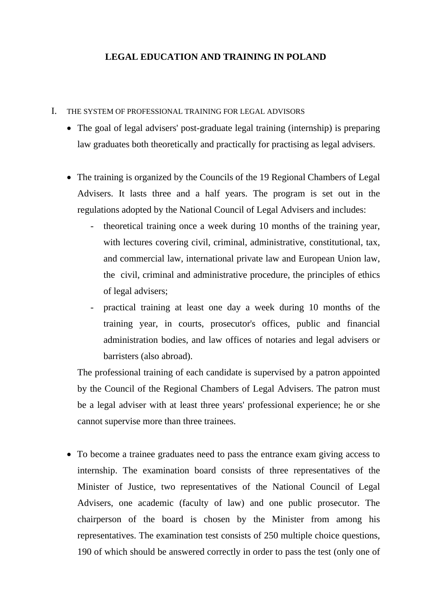## **LEGAL EDUCATION AND TRAINING IN POLAND**

## I. THE SYSTEM OF PROFESSIONAL TRAINING FOR LEGAL ADVISORS

- The goal of legal advisers' post-graduate legal training (internship) is preparing law graduates both theoretically and practically for practising as legal advisers.
- The training is organized by the Councils of the 19 Regional Chambers of Legal Advisers. It lasts three and a half years. The program is set out in the regulations adopted by the National Council of Legal Advisers and includes:
	- theoretical training once a week during 10 months of the training year, with lectures covering civil, criminal, administrative, constitutional, tax, and commercial law, international private law and European Union law, the civil, criminal and administrative procedure, the principles of ethics of legal advisers;
	- practical training at least one day a week during 10 months of the training year, in courts, prosecutor's offices, public and financial administration bodies, and law offices of notaries and legal advisers or barristers (also abroad).

The professional training of each candidate is supervised by a patron appointed by the Council of the Regional Chambers of Legal Advisers. The patron must be a legal adviser with at least three years' professional experience; he or she cannot supervise more than three trainees.

• To become a trainee graduates need to pass the entrance exam giving access to internship. The examination board consists of three representatives of the Minister of Justice, two representatives of the National Council of Legal Advisers, one academic (faculty of law) and one public prosecutor. The chairperson of the board is chosen by the Minister from among his representatives. The examination test consists of 250 multiple choice questions, 190 of which should be answered correctly in order to pass the test (only one of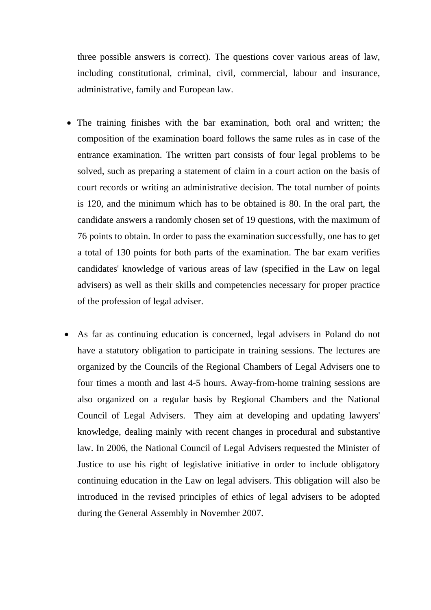three possible answers is correct). The questions cover various areas of law, including constitutional, criminal, civil, commercial, labour and insurance, administrative, family and European law.

- The training finishes with the bar examination, both oral and written; the composition of the examination board follows the same rules as in case of the entrance examination. The written part consists of four legal problems to be solved, such as preparing a statement of claim in a court action on the basis of court records or writing an administrative decision. The total number of points is 120, and the minimum which has to be obtained is 80. In the oral part, the candidate answers a randomly chosen set of 19 questions, with the maximum of 76 points to obtain. In order to pass the examination successfully, one has to get a total of 130 points for both parts of the examination. The bar exam verifies candidates' knowledge of various areas of law (specified in the Law on legal advisers) as well as their skills and competencies necessary for proper practice of the profession of legal adviser.
- As far as continuing education is concerned, legal advisers in Poland do not have a statutory obligation to participate in training sessions. The lectures are organized by the Councils of the Regional Chambers of Legal Advisers one to four times a month and last 4-5 hours. Away-from-home training sessions are also organized on a regular basis by Regional Chambers and the National Council of Legal Advisers. They aim at developing and updating lawyers' knowledge, dealing mainly with recent changes in procedural and substantive law. In 2006, the National Council of Legal Advisers requested the Minister of Justice to use his right of legislative initiative in order to include obligatory continuing education in the Law on legal advisers. This obligation will also be introduced in the revised principles of ethics of legal advisers to be adopted during the General Assembly in November 2007.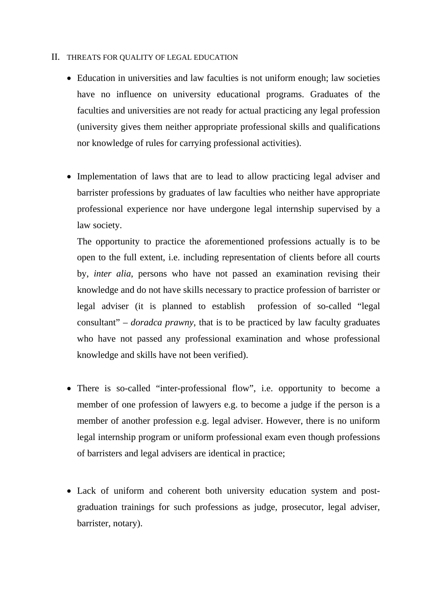## II. THREATS FOR QUALITY OF LEGAL EDUCATION

- Education in universities and law faculties is not uniform enough; law societies have no influence on university educational programs. Graduates of the faculties and universities are not ready for actual practicing any legal profession (university gives them neither appropriate professional skills and qualifications nor knowledge of rules for carrying professional activities).
- Implementation of laws that are to lead to allow practicing legal adviser and barrister professions by graduates of law faculties who neither have appropriate professional experience nor have undergone legal internship supervised by a law society.

The opportunity to practice the aforementioned professions actually is to be open to the full extent, i.e. including representation of clients before all courts by, *inter alia*, persons who have not passed an examination revising their knowledge and do not have skills necessary to practice profession of barrister or legal adviser (it is planned to establish profession of so-called "legal consultant" – *doradca prawny*, that is to be practiced by law faculty graduates who have not passed any professional examination and whose professional knowledge and skills have not been verified).

- There is so-called "inter-professional flow", i.e. opportunity to become a member of one profession of lawyers e.g. to become a judge if the person is a member of another profession e.g. legal adviser. However, there is no uniform legal internship program or uniform professional exam even though professions of barristers and legal advisers are identical in practice;
- Lack of uniform and coherent both university education system and postgraduation trainings for such professions as judge, prosecutor, legal adviser, barrister, notary).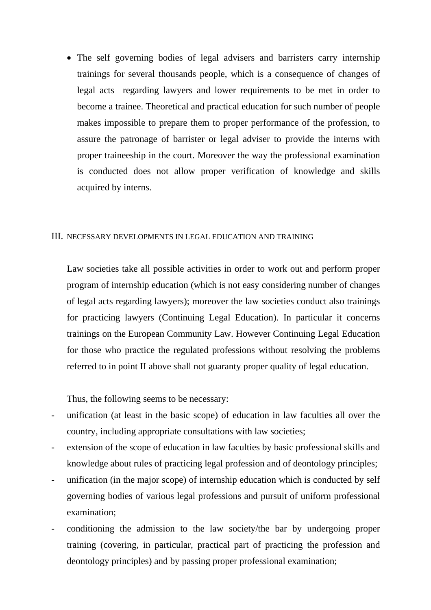• The self governing bodies of legal advisers and barristers carry internship trainings for several thousands people, which is a consequence of changes of legal acts regarding lawyers and lower requirements to be met in order to become a trainee. Theoretical and practical education for such number of people makes impossible to prepare them to proper performance of the profession, to assure the patronage of barrister or legal adviser to provide the interns with proper traineeship in the court. Moreover the way the professional examination is conducted does not allow proper verification of knowledge and skills acquired by interns.

## III. NECESSARY DEVELOPMENTS IN LEGAL EDUCATION AND TRAINING

Law societies take all possible activities in order to work out and perform proper program of internship education (which is not easy considering number of changes of legal acts regarding lawyers); moreover the law societies conduct also trainings for practicing lawyers (Continuing Legal Education). In particular it concerns trainings on the European Community Law. However Continuing Legal Education for those who practice the regulated professions without resolving the problems referred to in point II above shall not guaranty proper quality of legal education.

Thus, the following seems to be necessary:

- unification (at least in the basic scope) of education in law faculties all over the country, including appropriate consultations with law societies;
- extension of the scope of education in law faculties by basic professional skills and knowledge about rules of practicing legal profession and of deontology principles;
- unification (in the major scope) of internship education which is conducted by self governing bodies of various legal professions and pursuit of uniform professional examination;
- conditioning the admission to the law society/the bar by undergoing proper training (covering, in particular, practical part of practicing the profession and deontology principles) and by passing proper professional examination;